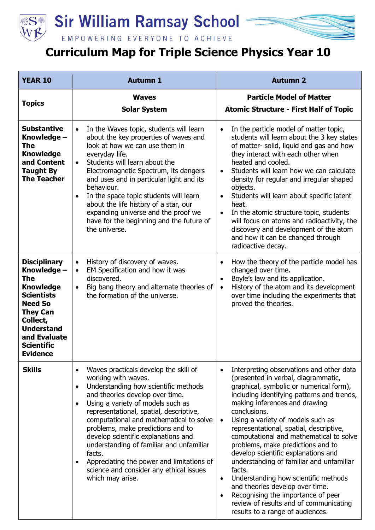

## **Sir William Ramsay School**



## **Curriculum Map for Triple Science Physics Year 10**

| <b>YEAR 10</b>                                                                                                                                                                                                          | <b>Autumn 1</b>                                                                                                                                                                                                                                                                                                                                                                                                                                                                                                                                         | <b>Autumn 2</b>                                                                                                                                                                                                                                                                                                                                                                                                                                                                                                                                                                                                                                                                                                                           |
|-------------------------------------------------------------------------------------------------------------------------------------------------------------------------------------------------------------------------|---------------------------------------------------------------------------------------------------------------------------------------------------------------------------------------------------------------------------------------------------------------------------------------------------------------------------------------------------------------------------------------------------------------------------------------------------------------------------------------------------------------------------------------------------------|-------------------------------------------------------------------------------------------------------------------------------------------------------------------------------------------------------------------------------------------------------------------------------------------------------------------------------------------------------------------------------------------------------------------------------------------------------------------------------------------------------------------------------------------------------------------------------------------------------------------------------------------------------------------------------------------------------------------------------------------|
| <b>Topics</b>                                                                                                                                                                                                           | <b>Waves</b><br><b>Solar System</b>                                                                                                                                                                                                                                                                                                                                                                                                                                                                                                                     | <b>Particle Model of Matter</b><br><b>Atomic Structure - First Half of Topic</b>                                                                                                                                                                                                                                                                                                                                                                                                                                                                                                                                                                                                                                                          |
| <b>Substantive</b><br>Knowledge -<br>The<br><b>Knowledge</b><br>and Content<br><b>Taught By</b><br><b>The Teacher</b>                                                                                                   | In the Waves topic, students will learn<br>$\bullet$<br>about the key properties of waves and<br>look at how we can use them in<br>everyday life.<br>Students will learn about the<br>$\bullet$<br>Electromagnetic Spectrum, its dangers<br>and uses and in particular light and its<br>behaviour.<br>In the space topic students will learn<br>$\bullet$<br>about the life history of a star, our<br>expanding universe and the proof we<br>have for the beginning and the future of<br>the universe.                                                  | In the particle model of matter topic,<br>$\bullet$<br>students will learn about the 3 key states<br>of matter- solid, liquid and gas and how<br>they interact with each other when<br>heated and cooled.<br>Students will learn how we can calculate<br>$\bullet$<br>density for regular and irregular shaped<br>objects.<br>Students will learn about specific latent<br>$\bullet$<br>heat.<br>In the atomic structure topic, students<br>$\bullet$<br>will focus on atoms and radioactivity, the<br>discovery and development of the atom<br>and how it can be changed through<br>radioactive decay.                                                                                                                                   |
| <b>Disciplinary</b><br>Knowledge -<br><b>The</b><br><b>Knowledge</b><br><b>Scientists</b><br><b>Need So</b><br><b>They Can</b><br>Collect,<br><b>Understand</b><br>and Evaluate<br><b>Scientific</b><br><b>Evidence</b> | History of discovery of waves.<br>$\bullet$<br>EM Specification and how it was<br>$\bullet$<br>discovered.<br>Big bang theory and alternate theories of<br>$\bullet$<br>the formation of the universe.                                                                                                                                                                                                                                                                                                                                                  | How the theory of the particle model has<br>$\bullet$<br>changed over time.<br>Boyle's law and its application.<br>$\bullet$<br>History of the atom and its development<br>$\bullet$<br>over time including the experiments that<br>proved the theories.                                                                                                                                                                                                                                                                                                                                                                                                                                                                                  |
| <b>Skills</b>                                                                                                                                                                                                           | Waves practicals develop the skill of<br>$\bullet$<br>working with waves.<br>Understanding how scientific methods<br>$\bullet$<br>and theories develop over time.<br>Using a variety of models such as<br>$\bullet$<br>representational, spatial, descriptive,<br>computational and mathematical to solve<br>problems, make predictions and to<br>develop scientific explanations and<br>understanding of familiar and unfamiliar<br>facts.<br>Appreciating the power and limitations of<br>science and consider any ethical issues<br>which may arise. | Interpreting observations and other data<br>$\bullet$<br>(presented in verbal, diagrammatic,<br>graphical, symbolic or numerical form),<br>including identifying patterns and trends,<br>making inferences and drawing<br>conclusions.<br>Using a variety of models such as<br>$\bullet$<br>representational, spatial, descriptive,<br>computational and mathematical to solve<br>problems, make predictions and to<br>develop scientific explanations and<br>understanding of familiar and unfamiliar<br>facts.<br>Understanding how scientific methods<br>$\bullet$<br>and theories develop over time.<br>Recognising the importance of peer<br>$\bullet$<br>review of results and of communicating<br>results to a range of audiences. |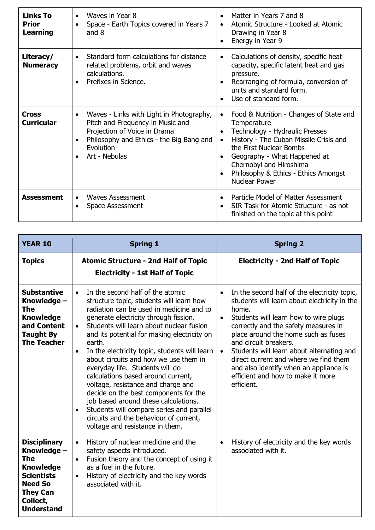| <b>Links To</b><br><b>Prior</b><br><b>Learning</b> | Waves in Year 8<br>$\bullet$<br>Space - Earth Topics covered in Years 7<br>and $8$                                                                                                                  | Matter in Years 7 and 8<br>Atomic Structure - Looked at Atomic<br>Drawing in Year 8<br>Energy in Year 9                                                                                                                                                                                                                         |
|----------------------------------------------------|-----------------------------------------------------------------------------------------------------------------------------------------------------------------------------------------------------|---------------------------------------------------------------------------------------------------------------------------------------------------------------------------------------------------------------------------------------------------------------------------------------------------------------------------------|
| Literacy/<br><b>Numeracy</b>                       | Standard form calculations for distance<br>related problems, orbit and waves<br>calculations.<br>Prefixes in Science.                                                                               | Calculations of density, specific heat<br>$\bullet$<br>capacity, specific latent heat and gas<br>pressure.<br>Rearranging of formula, conversion of<br>units and standard form.<br>Use of standard form.                                                                                                                        |
| Cross<br><b>Curricular</b>                         | Waves - Links with Light in Photography,<br>$\bullet$<br>Pitch and Frequency in Music and<br>Projection of Voice in Drama<br>Philosophy and Ethics - the Big Bang and<br>Evolution<br>Art - Nebulas | Food & Nutrition - Changes of State and<br>$\bullet$<br>Temperature<br>Technology - Hydraulic Presses<br>$\bullet$<br>History - The Cuban Missile Crisis and<br>$\bullet$<br>the First Nuclear Bombs<br>Geography - What Happened at<br>Chernobyl and Hiroshima<br>Philosophy & Ethics - Ethics Amongst<br><b>Nuclear Power</b> |
| <b>Assessment</b>                                  | <b>Waves Assessment</b><br>Space Assessment                                                                                                                                                         | Particle Model of Matter Assessment<br>$\bullet$<br>SIR Task for Atomic Structure - as not<br>finished on the topic at this point                                                                                                                                                                                               |

| <b>YEAR 10</b>                                                                                                                                           | <b>Spring 1</b>                                                                                                                                                                                                                                                                                                                                                                                                                                                                                                                                                                                                                                                                                                                   | <b>Spring 2</b>                                                                                                                                                                                                                                                                                                                                                                                                                                                     |
|----------------------------------------------------------------------------------------------------------------------------------------------------------|-----------------------------------------------------------------------------------------------------------------------------------------------------------------------------------------------------------------------------------------------------------------------------------------------------------------------------------------------------------------------------------------------------------------------------------------------------------------------------------------------------------------------------------------------------------------------------------------------------------------------------------------------------------------------------------------------------------------------------------|---------------------------------------------------------------------------------------------------------------------------------------------------------------------------------------------------------------------------------------------------------------------------------------------------------------------------------------------------------------------------------------------------------------------------------------------------------------------|
| <b>Topics</b>                                                                                                                                            | <b>Atomic Structure - 2nd Half of Topic</b><br><b>Electricity - 1st Half of Topic</b>                                                                                                                                                                                                                                                                                                                                                                                                                                                                                                                                                                                                                                             | <b>Electricity - 2nd Half of Topic</b>                                                                                                                                                                                                                                                                                                                                                                                                                              |
| <b>Substantive</b><br>Knowledge -<br>The<br><b>Knowledge</b><br>and Content<br><b>Taught By</b><br><b>The Teacher</b>                                    | In the second half of the atomic<br>$\bullet$<br>structure topic, students will learn how<br>radiation can be used in medicine and to<br>generate electricity through fission.<br>Students will learn about nuclear fusion<br>$\bullet$<br>and its potential for making electricity on<br>earth.<br>In the electricity topic, students will learn<br>$\bullet$<br>about circuits and how we use them in<br>everyday life. Students will do<br>calculations based around current,<br>voltage, resistance and charge and<br>decide on the best components for the<br>job based around these calculations.<br>Students will compare series and parallel<br>circuits and the behaviour of current,<br>voltage and resistance in them. | In the second half of the electricity topic,<br>students will learn about electricity in the<br>home.<br>Students will learn how to wire plugs<br>$\bullet$<br>correctly and the safety measures in<br>place around the home such as fuses<br>and circuit breakers.<br>Students will learn about alternating and<br>$\bullet$<br>direct current and where we find them<br>and also identify when an appliance is<br>efficient and how to make it more<br>efficient. |
| <b>Disciplinary</b><br>Knowledge -<br>The<br><b>Knowledge</b><br><b>Scientists</b><br><b>Need So</b><br><b>They Can</b><br>Collect,<br><b>Understand</b> | History of nuclear medicine and the<br>$\bullet$<br>safety aspects introduced.<br>Fusion theory and the concept of using it<br>$\bullet$<br>as a fuel in the future.<br>History of electricity and the key words<br>$\bullet$<br>associated with it.                                                                                                                                                                                                                                                                                                                                                                                                                                                                              | History of electricity and the key words<br>$\bullet$<br>associated with it.                                                                                                                                                                                                                                                                                                                                                                                        |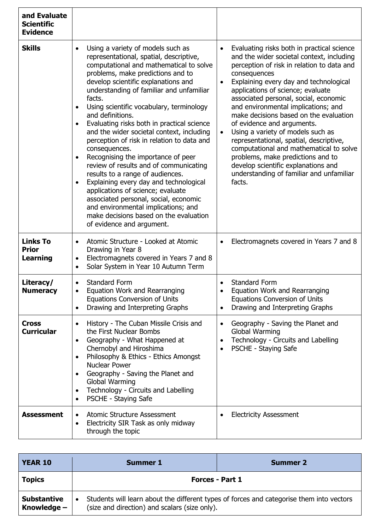| and Evaluate<br><b>Scientific</b><br><b>Evidence</b> |                                                                                                                                                                                                                                                                                                                                                                                                                                                                                                                                                                                                                                                                                                                                                                                                                                                                         |                                                                                                                                                                                                                                                                                                                                                                                                                                                                                                                                                                                                                                                                                                  |
|------------------------------------------------------|-------------------------------------------------------------------------------------------------------------------------------------------------------------------------------------------------------------------------------------------------------------------------------------------------------------------------------------------------------------------------------------------------------------------------------------------------------------------------------------------------------------------------------------------------------------------------------------------------------------------------------------------------------------------------------------------------------------------------------------------------------------------------------------------------------------------------------------------------------------------------|--------------------------------------------------------------------------------------------------------------------------------------------------------------------------------------------------------------------------------------------------------------------------------------------------------------------------------------------------------------------------------------------------------------------------------------------------------------------------------------------------------------------------------------------------------------------------------------------------------------------------------------------------------------------------------------------------|
| <b>Skills</b>                                        | Using a variety of models such as<br>$\bullet$<br>representational, spatial, descriptive,<br>computational and mathematical to solve<br>problems, make predictions and to<br>develop scientific explanations and<br>understanding of familiar and unfamiliar<br>facts.<br>Using scientific vocabulary, terminology<br>and definitions.<br>Evaluating risks both in practical science<br>and the wider societal context, including<br>perception of risk in relation to data and<br>consequences.<br>Recognising the importance of peer<br>review of results and of communicating<br>results to a range of audiences.<br>Explaining every day and technological<br>$\bullet$<br>applications of science; evaluate<br>associated personal, social, economic<br>and environmental implications; and<br>make decisions based on the evaluation<br>of evidence and argument. | Evaluating risks both in practical science<br>$\bullet$<br>and the wider societal context, including<br>perception of risk in relation to data and<br>consequences<br>Explaining every day and technological<br>$\bullet$<br>applications of science; evaluate<br>associated personal, social, economic<br>and environmental implications; and<br>make decisions based on the evaluation<br>of evidence and arguments.<br>Using a variety of models such as<br>$\bullet$<br>representational, spatial, descriptive,<br>computational and mathematical to solve<br>problems, make predictions and to<br>develop scientific explanations and<br>understanding of familiar and unfamiliar<br>facts. |
| <b>Links To</b><br><b>Prior</b><br><b>Learning</b>   | Atomic Structure - Looked at Atomic<br>Drawing in Year 8<br>Electromagnets covered in Years 7 and 8<br>$\bullet$<br>Solar System in Year 10 Autumn Term<br>$\bullet$                                                                                                                                                                                                                                                                                                                                                                                                                                                                                                                                                                                                                                                                                                    | Electromagnets covered in Years 7 and 8                                                                                                                                                                                                                                                                                                                                                                                                                                                                                                                                                                                                                                                          |
| Literacy/<br><b>Numeracy</b>                         | <b>Standard Form</b><br>$\bullet$<br>Equation Work and Rearranging<br><b>Equations Conversion of Units</b><br>Drawing and Interpreting Graphs<br>$\bullet$                                                                                                                                                                                                                                                                                                                                                                                                                                                                                                                                                                                                                                                                                                              | <b>Standard Form</b><br>Equation Work and Rearranging<br><b>Equations Conversion of Units</b><br>Drawing and Interpreting Graphs<br>$\bullet$                                                                                                                                                                                                                                                                                                                                                                                                                                                                                                                                                    |
| <b>Cross</b><br><b>Curricular</b>                    | History - The Cuban Missile Crisis and<br>$\bullet$<br>the First Nuclear Bombs<br>Geography - What Happened at<br>Chernobyl and Hiroshima<br>Philosophy & Ethics - Ethics Amongst<br>$\bullet$<br><b>Nuclear Power</b><br>Geography - Saving the Planet and<br>Global Warming<br>Technology - Circuits and Labelling<br>$\bullet$<br>PSCHE - Staying Safe<br>$\bullet$                                                                                                                                                                                                                                                                                                                                                                                                                                                                                                  | Geography - Saving the Planet and<br>$\bullet$<br>Global Warming<br>Technology - Circuits and Labelling<br>$\bullet$<br>PSCHE - Staying Safe                                                                                                                                                                                                                                                                                                                                                                                                                                                                                                                                                     |
| <b>Assessment</b>                                    | <b>Atomic Structure Assessment</b><br>Electricity SIR Task as only midway<br>through the topic                                                                                                                                                                                                                                                                                                                                                                                                                                                                                                                                                                                                                                                                                                                                                                          | <b>Electricity Assessment</b>                                                                                                                                                                                                                                                                                                                                                                                                                                                                                                                                                                                                                                                                    |

| <b>YEAR 10</b>                      | Summer 1                                                                                                                                  | <b>Summer 2</b> |
|-------------------------------------|-------------------------------------------------------------------------------------------------------------------------------------------|-----------------|
| <b>Topics</b>                       | <b>Forces - Part 1</b>                                                                                                                    |                 |
| <b>Substantive</b><br>Knowledge $-$ | Students will learn about the different types of forces and categorise them into vectors<br>(size and direction) and scalars (size only). |                 |